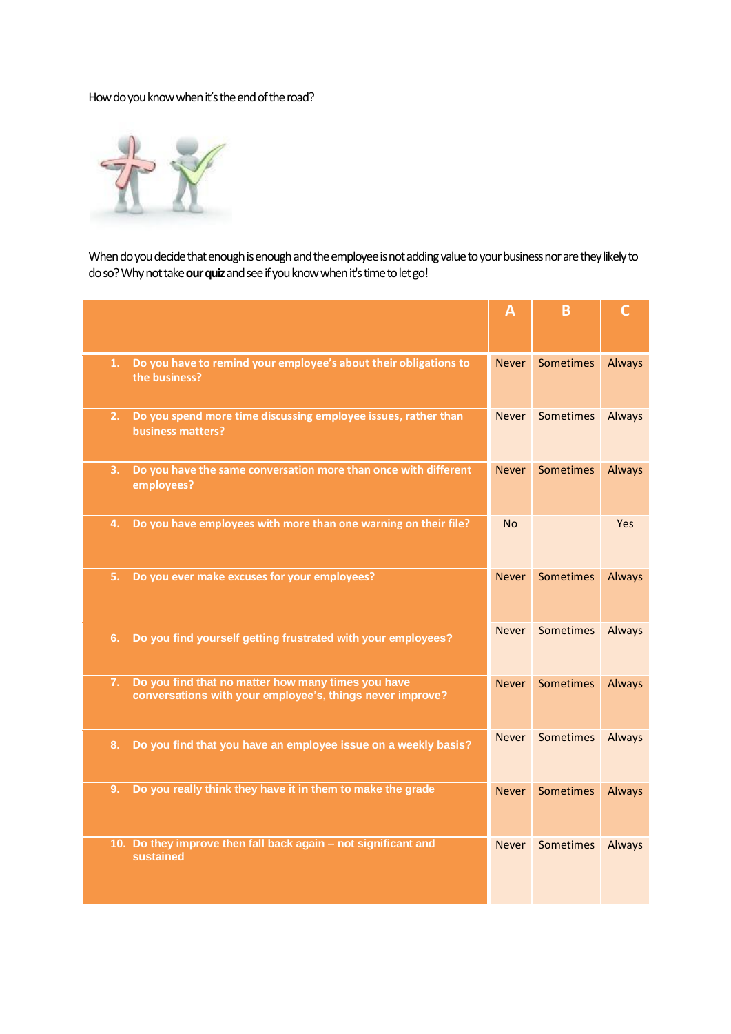## How do you know when it's the end of the road?



When do you decide that enough is enough and the employee is not adding value to your business nor are they likely to do so? Why not take **our quiz**and see if you know when it's time to let go!

|                                                                                                                       | $\mathsf{A}$ | в                |            |
|-----------------------------------------------------------------------------------------------------------------------|--------------|------------------|------------|
|                                                                                                                       |              |                  |            |
| Do you have to remind your employee's about their obligations to<br>1.<br>the business?                               | <b>Never</b> | <b>Sometimes</b> | Always     |
| 2.<br>Do you spend more time discussing employee issues, rather than<br>business matters?                             | <b>Never</b> | Sometimes        | Always     |
| 3.<br>Do you have the same conversation more than once with different<br>employees?                                   | <b>Never</b> | <b>Sometimes</b> | Always     |
| Do you have employees with more than one warning on their file?<br>4.                                                 | <b>No</b>    |                  | <b>Yes</b> |
| 5.<br>Do you ever make excuses for your employees?                                                                    | <b>Never</b> | <b>Sometimes</b> | Always     |
| Do you find yourself getting frustrated with your employees?<br>6.                                                    | <b>Never</b> | <b>Sometimes</b> | Always     |
| Do you find that no matter how many times you have<br>7.<br>conversations with your employee's, things never improve? | <b>Never</b> | <b>Sometimes</b> | Always     |
| Do you find that you have an employee issue on a weekly basis?<br>8.                                                  | <b>Never</b> | <b>Sometimes</b> | Always     |
| Do you really think they have it in them to make the grade<br>9.                                                      | <b>Never</b> | <b>Sometimes</b> | Always     |
| 10. Do they improve then fall back again - not significant and<br>sustained                                           | Never        | Sometimes        | Always     |